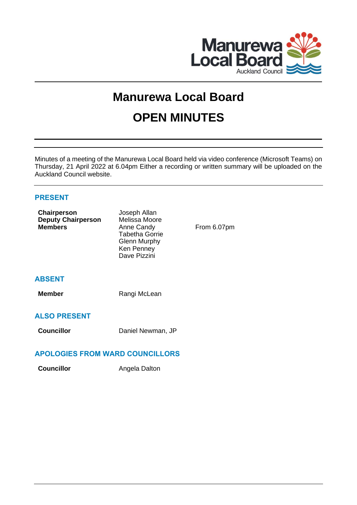

# **Manurewa Local Board OPEN MINUTES**

Minutes of a meeting of the Manurewa Local Board held via video conference (Microsoft Teams) on Thursday, 21 April 2022 at 6.04pm Either a recording or written summary will be uploaded on the Auckland Council website.

# **PRESENT**

| Chairperson<br><b>Deputy Chairperson</b><br><b>Members</b> | Joseph Allan<br>Melissa Moore<br>Anne Candy<br><b>Tabetha Gorrie</b><br><b>Glenn Murphy</b><br>Ken Penney<br>Dave Pizzini | From 6.07pm |  |  |  |  |  |
|------------------------------------------------------------|---------------------------------------------------------------------------------------------------------------------------|-------------|--|--|--|--|--|
| <b>ABSENT</b>                                              |                                                                                                                           |             |  |  |  |  |  |
| <b>Member</b>                                              | Rangi McLean                                                                                                              |             |  |  |  |  |  |
| <b>ALSO PRESENT</b>                                        |                                                                                                                           |             |  |  |  |  |  |
| <b>Councillor</b>                                          | Daniel Newman, JP                                                                                                         |             |  |  |  |  |  |
| ADOLOGIES EDOM WADD COLINGILLODS                           |                                                                                                                           |             |  |  |  |  |  |

# **APOLOGIES FROM WARD COUNCILLORS**

**Councillor Angela Dalton**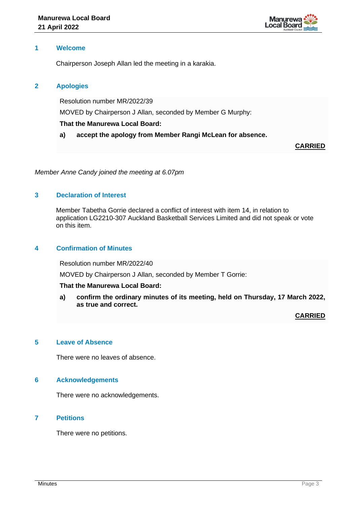

# **1 Welcome**

Chairperson Joseph Allan led the meeting in a karakia.

# **2 Apologies**

Resolution number MR/2022/39

MOVED by Chairperson J Allan, seconded by Member G Murphy:

# **That the Manurewa Local Board:**

**a) accept the apology from Member Rangi McLean for absence.**

**CARRIED**

*Member Anne Candy joined the meeting at 6.07pm*

# **3 Declaration of Interest**

Member Tabetha Gorrie declared a conflict of interest with item 14, in relation to application LG2210-307 Auckland Basketball Services Limited and did not speak or vote on this item.

# **4 Confirmation of Minutes**

Resolution number MR/2022/40

MOVED by Chairperson J Allan, seconded by Member T Gorrie:

## **That the Manurewa Local Board:**

**a) confirm the ordinary minutes of its meeting, held on Thursday, 17 March 2022, as true and correct.**

**CARRIED**

#### **5 Leave of Absence**

There were no leaves of absence.

## **6 Acknowledgements**

There were no acknowledgements.

## **7 Petitions**

There were no petitions.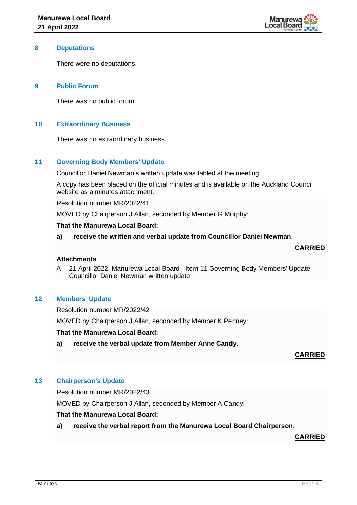

### **8 Deputations**

There were no deputations.

# **9 Public Forum**

There was no public forum.

# **10 Extraordinary Business**

There was no extraordinary business.

# **11 Governing Body Members' Update**

Councillor Daniel Newman's written update was tabled at the meeting.

A copy has been placed on the official minutes and is available on the Auckland Council website as a minutes attachment.

Resolution number MR/2022/41

MOVED by Chairperson J Allan, seconded by Member G Murphy:

#### **That the Manurewa Local Board:**

**a) receive the written and verbal update from Councillor Daniel Newman**.

#### **CARRIED**

#### **Attachments**

A 21 April 2022, Manurewa Local Board - Item 11 Governing Body Members' Update - Councillor Daniel Newman written update

# **12 Members' Update**

Resolution number MR/2022/42

MOVED by Chairperson J Allan, seconded by Member K Penney:

#### **That the Manurewa Local Board:**

**a) receive the verbal update from Member Anne Candy.** 

#### **CARRIED**

# **13 Chairperson's Update**

Resolution number MR/2022/43

MOVED by Chairperson J Allan, seconded by Member A Candy:

#### **That the Manurewa Local Board:**

**a) receive the verbal report from the Manurewa Local Board Chairperson.**

#### **CARRIED**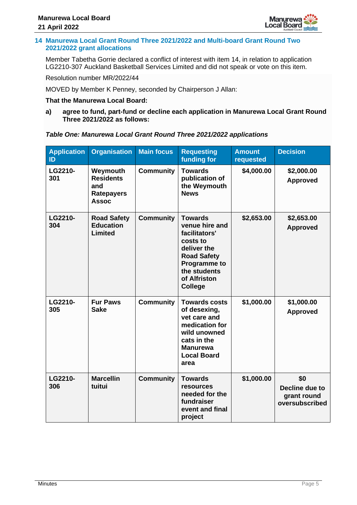

# **14 Manurewa Local Grant Round Three 2021/2022 and Multi-board Grant Round Two 2021/2022 grant allocations**

Member Tabetha Gorrie declared a conflict of interest with item 14, in relation to application LG2210-307 Auckland Basketball Services Limited and did not speak or vote on this item.

Resolution number MR/2022/44

MOVED by Member K Penney, seconded by Chairperson J Allan:

# **That the Manurewa Local Board:**

**a) agree to fund, part-fund or decline each application in Manurewa Local Grant Round Three 2021/2022 as follows:**

# *Table One: Manurewa Local Grant Round Three 2021/2022 applications*

| <b>Application</b><br>ID | <b>Organisation</b>                                                      | <b>Main focus</b> | <b>Requesting</b><br>funding for                                                                                                                                            | <b>Amount</b><br>requested | <b>Decision</b>                                        |
|--------------------------|--------------------------------------------------------------------------|-------------------|-----------------------------------------------------------------------------------------------------------------------------------------------------------------------------|----------------------------|--------------------------------------------------------|
| LG2210-<br>301           | Weymouth<br><b>Residents</b><br>and<br><b>Ratepayers</b><br><b>Assoc</b> | <b>Community</b>  | <b>Towards</b><br>publication of<br>the Weymouth<br><b>News</b>                                                                                                             | \$4,000.00                 | \$2,000.00<br><b>Approved</b>                          |
| LG2210-<br>304           | <b>Road Safety</b><br><b>Education</b><br><b>Limited</b>                 | <b>Community</b>  | <b>Towards</b><br>venue hire and<br>facilitators'<br>costs to<br>deliver the<br><b>Road Safety</b><br><b>Programme to</b><br>the students<br>of Alfriston<br><b>College</b> | \$2,653.00                 | \$2,653.00<br><b>Approved</b>                          |
| LG2210-<br>305           | <b>Fur Paws</b><br><b>Sake</b>                                           | <b>Community</b>  | <b>Towards costs</b><br>of desexing,<br>vet care and<br>medication for<br>wild unowned<br>cats in the<br><b>Manurewa</b><br><b>Local Board</b><br>area                      | \$1,000.00                 | \$1,000.00<br><b>Approved</b>                          |
| LG2210-<br>306           | <b>Marcellin</b><br>tuitui                                               | <b>Community</b>  | <b>Towards</b><br><b>resources</b><br>needed for the<br>fundraiser<br>event and final<br>project                                                                            | \$1,000.00                 | \$0<br>Decline due to<br>grant round<br>oversubscribed |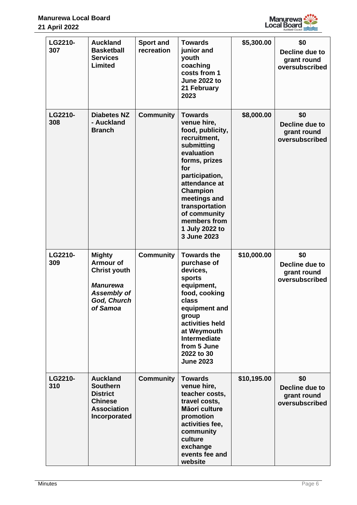

| LG2210-<br>307 | <b>Auckland</b><br><b>Basketball</b><br><b>Services</b><br>Limited                                                           | <b>Sport and</b><br>recreation | <b>Towards</b><br>junior and<br>youth<br>coaching<br>costs from 1<br><b>June 2022 to</b><br>21 February<br>2023                                                                                                                                                         | \$5,300.00  | \$0<br>Decline due to<br>grant round<br>oversubscribed |
|----------------|------------------------------------------------------------------------------------------------------------------------------|--------------------------------|-------------------------------------------------------------------------------------------------------------------------------------------------------------------------------------------------------------------------------------------------------------------------|-------------|--------------------------------------------------------|
| LG2210-<br>308 | <b>Diabetes NZ</b><br>- Auckland<br><b>Branch</b>                                                                            | <b>Community</b>               | <b>Towards</b><br>venue hire,<br>food, publicity,<br>recruitment,<br>submitting<br>evaluation<br>forms, prizes<br>for<br>participation,<br>attendance at<br>Champion<br>meetings and<br>transportation<br>of community<br>members from<br>1 July 2022 to<br>3 June 2023 | \$8,000.00  | \$0<br>Decline due to<br>grant round<br>oversubscribed |
| LG2210-<br>309 | <b>Mighty</b><br><b>Armour of</b><br><b>Christ youth</b><br><b>Manurewa</b><br><b>Assembly of</b><br>God, Church<br>of Samoa | <b>Community</b>               | <b>Towards the</b><br>purchase of<br>devices,<br>sports<br>equipment,<br>food, cooking<br>class<br>equipment and<br>group<br>activities held<br>at Weymouth<br>Intermediate<br>from 5 June<br>2022 to 30<br><b>June 2023</b>                                            | \$10,000.00 | \$0<br>Decline due to<br>grant round<br>oversubscribed |
| LG2210-<br>310 | <b>Auckland</b><br><b>Southern</b><br><b>District</b><br><b>Chinese</b><br><b>Association</b><br>Incorporated                | <b>Community</b>               | <b>Towards</b><br>venue hire,<br>teacher costs,<br>travel costs,<br>Māori culture<br>promotion<br>activities fee,<br>community<br>culture<br>exchange<br>events fee and<br>website                                                                                      | \$10,195.00 | \$0<br>Decline due to<br>grant round<br>oversubscribed |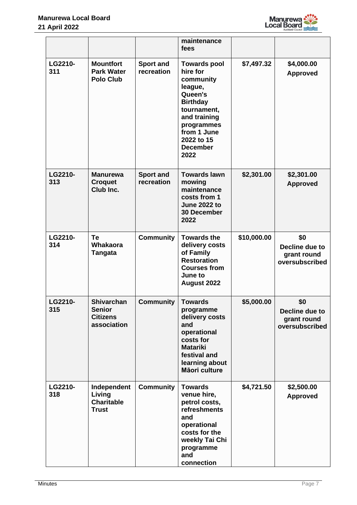

|                |                                                                      |                                | maintenance<br>fees                                                                                                                                                                        |             |                                                        |
|----------------|----------------------------------------------------------------------|--------------------------------|--------------------------------------------------------------------------------------------------------------------------------------------------------------------------------------------|-------------|--------------------------------------------------------|
| LG2210-<br>311 | <b>Mountfort</b><br><b>Park Water</b><br><b>Polo Club</b>            | <b>Sport and</b><br>recreation | <b>Towards pool</b><br>hire for<br>community<br>league,<br>Queen's<br><b>Birthday</b><br>tournament,<br>and training<br>programmes<br>from 1 June<br>2022 to 15<br><b>December</b><br>2022 | \$7,497.32  | \$4,000.00<br><b>Approved</b>                          |
| LG2210-<br>313 | <b>Manurewa</b><br><b>Croquet</b><br>Club Inc.                       | <b>Sport and</b><br>recreation | <b>Towards lawn</b><br>mowing<br>maintenance<br>costs from 1<br><b>June 2022 to</b><br><b>30 December</b><br>2022                                                                          | \$2,301.00  | \$2,301.00<br><b>Approved</b>                          |
| LG2210-<br>314 | Te<br><b>Whakaora</b><br><b>Tangata</b>                              | <b>Community</b>               | <b>Towards the</b><br>delivery costs<br>of Family<br><b>Restoration</b><br><b>Courses from</b><br>June to<br>August 2022                                                                   | \$10,000.00 | \$0<br>Decline due to<br>grant round<br>oversubscribed |
| LG2210-<br>315 | <b>Shivarchan</b><br><b>Senior</b><br><b>Citizens</b><br>association | <b>Community</b>               | <b>Towards</b><br>programme<br>delivery costs<br>and<br>operational<br>costs for<br><b>Matariki</b><br>festival and<br>learning about<br>Māori culture                                     | \$5,000.00  | \$0<br>Decline due to<br>grant round<br>oversubscribed |
| LG2210-<br>318 | Independent<br>Living<br><b>Charitable</b><br><b>Trust</b>           | <b>Community</b>               | <b>Towards</b><br>venue hire,<br>petrol costs,<br>refreshments<br>and<br>operational<br>costs for the<br>weekly Tai Chi<br>programme<br>and<br>connection                                  | \$4,721.50  | \$2,500.00<br><b>Approved</b>                          |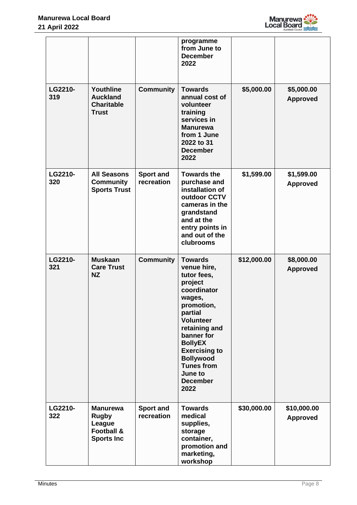

|                |                                                                                         |                                | programme<br>from June to<br><b>December</b><br>2022                                                                                                                                                                                                                                  |             |                                |
|----------------|-----------------------------------------------------------------------------------------|--------------------------------|---------------------------------------------------------------------------------------------------------------------------------------------------------------------------------------------------------------------------------------------------------------------------------------|-------------|--------------------------------|
| LG2210-<br>319 | Youthline<br><b>Auckland</b><br><b>Charitable</b><br><b>Trust</b>                       | <b>Community</b>               | <b>Towards</b><br>annual cost of<br>volunteer<br>training<br>services in<br><b>Manurewa</b><br>from 1 June<br>2022 to 31<br><b>December</b><br>2022                                                                                                                                   | \$5,000.00  | \$5,000.00<br><b>Approved</b>  |
| LG2210-<br>320 | <b>All Seasons</b><br><b>Community</b><br><b>Sports Trust</b>                           | <b>Sport and</b><br>recreation | <b>Towards the</b><br>purchase and<br>installation of<br>outdoor CCTV<br>cameras in the<br>grandstand<br>and at the<br>entry points in<br>and out of the<br>clubrooms                                                                                                                 | \$1,599.00  | \$1,599.00<br><b>Approved</b>  |
| LG2210-<br>321 | <b>Muskaan</b><br><b>Care Trust</b><br><b>NZ</b>                                        | <b>Community</b>               | <b>Towards</b><br>venue hire,<br>tutor fees,<br>project<br>coordinator<br>wages,<br>promotion,<br>partial<br><b>Volunteer</b><br>retaining and<br>banner for<br><b>BollyEX</b><br><b>Exercising to</b><br><b>Bollywood</b><br><b>Tunes from</b><br>June to<br><b>December</b><br>2022 | \$12,000.00 | \$8,000.00<br><b>Approved</b>  |
| LG2210-<br>322 | <b>Manurewa</b><br><b>Rugby</b><br>League<br><b>Football &amp;</b><br><b>Sports Inc</b> | <b>Sport and</b><br>recreation | <b>Towards</b><br>medical<br>supplies,<br>storage<br>container,<br>promotion and<br>marketing,<br>workshop                                                                                                                                                                            | \$30,000.00 | \$10,000.00<br><b>Approved</b> |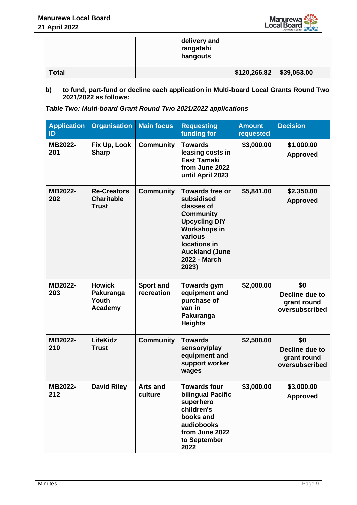

|              |  | delivery and<br>rangatahi<br>hangouts |                            |  |
|--------------|--|---------------------------------------|----------------------------|--|
| <b>Total</b> |  |                                       | $$120,266.82$ $$39,053.00$ |  |

**b) to fund, part-fund or decline each application in Multi-board Local Grants Round Two 2021/2022 as follows:**

| Table Two: Multi-board Grant Round Two 2021/2022 applications |  |
|---------------------------------------------------------------|--|
|---------------------------------------------------------------|--|

| <b>Application</b><br>ID | <b>Organisation</b>                                     | <b>Main focus</b>              | <b>Requesting</b><br>funding for                                                                                                                                                                   | <b>Amount</b><br>requested | <b>Decision</b>                                        |
|--------------------------|---------------------------------------------------------|--------------------------------|----------------------------------------------------------------------------------------------------------------------------------------------------------------------------------------------------|----------------------------|--------------------------------------------------------|
| MB2022-<br>201           | Fix Up, Look<br><b>Sharp</b>                            | <b>Community</b>               | <b>Towards</b><br>leasing costs in<br><b>East Tamaki</b><br>from June 2022<br>until April 2023                                                                                                     | \$3,000.00                 | \$1,000.00<br><b>Approved</b>                          |
| MB2022-<br>202           | <b>Re-Creators</b><br><b>Charitable</b><br><b>Trust</b> | <b>Community</b>               | <b>Towards free or</b><br>subsidised<br>classes of<br><b>Community</b><br><b>Upcycling DIY</b><br><b>Workshops in</b><br>various<br>locations in<br><b>Auckland (June</b><br>2022 - March<br>2023) | \$5,841.00                 | \$2,350.00<br><b>Approved</b>                          |
| MB2022-<br>203           | <b>Howick</b><br>Pakuranga<br>Youth<br>Academy          | <b>Sport and</b><br>recreation | <b>Towards gym</b><br>equipment and<br>purchase of<br>van in<br>Pakuranga<br><b>Heights</b>                                                                                                        | \$2,000.00                 | \$0<br>Decline due to<br>grant round<br>oversubscribed |
| MB2022-<br>210           | <b>LifeKidz</b><br><b>Trust</b>                         | <b>Community</b>               | <b>Towards</b><br>sensory/play<br>equipment and<br>support worker<br>wages                                                                                                                         | \$2,500.00                 | \$0<br>Decline due to<br>grant round<br>oversubscribed |
| MB2022-<br>212           | <b>David Riley</b>                                      | Arts and<br>culture            | Towards four<br>bilingual Pacific<br>superhero<br>children's<br>books and<br>audiobooks<br>from June 2022<br>to September<br>2022                                                                  | \$3,000.00                 | \$3,000.00<br><b>Approved</b>                          |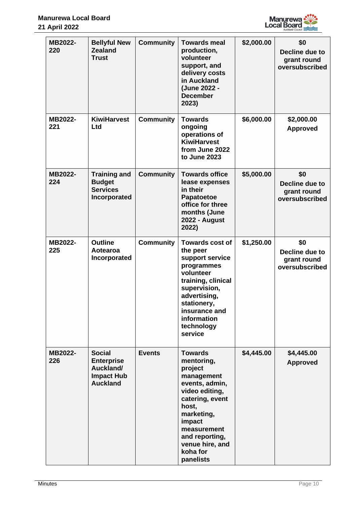

| MB2022-<br>220 | <b>Bellyful New</b><br><b>Zealand</b><br><b>Trust</b>                                   | <b>Community</b> | <b>Towards meal</b><br>production,<br>volunteer<br>support, and<br>delivery costs<br>in Auckland<br>(June 2022 -<br><b>December</b><br>2023)                                                                               | \$2,000.00 | \$0<br>Decline due to<br>grant round<br>oversubscribed |
|----------------|-----------------------------------------------------------------------------------------|------------------|----------------------------------------------------------------------------------------------------------------------------------------------------------------------------------------------------------------------------|------------|--------------------------------------------------------|
| MB2022-<br>221 | <b>KiwiHarvest</b><br>Ltd                                                               | <b>Community</b> | <b>Towards</b><br>ongoing<br>operations of<br><b>KiwiHarvest</b><br>from June 2022<br>to June 2023                                                                                                                         | \$6,000.00 | \$2,000.00<br><b>Approved</b>                          |
| MB2022-<br>224 | <b>Training and</b><br><b>Budget</b><br><b>Services</b><br>Incorporated                 | <b>Community</b> | <b>Towards office</b><br>lease expenses<br>in their<br>Papatoetoe<br>office for three<br>months (June<br><b>2022 - August</b><br>2022)                                                                                     | \$5,000.00 | \$0<br>Decline due to<br>grant round<br>oversubscribed |
| MB2022-<br>225 | <b>Outline</b><br>Aotearoa<br>Incorporated                                              | <b>Community</b> | <b>Towards cost of</b><br>the peer<br>support service<br>programmes<br>volunteer<br>training, clinical<br>supervision,<br>advertising,<br>stationery,<br>insurance and<br>information<br>technology<br>service             | \$1,250.00 | \$0<br>Decline due to<br>grant round<br>oversubscribed |
| MB2022-<br>226 | <b>Social</b><br><b>Enterprise</b><br>Auckland/<br><b>Impact Hub</b><br><b>Auckland</b> | <b>Events</b>    | <b>Towards</b><br>mentoring,<br>project<br>management<br>events, admin,<br>video editing,<br>catering, event<br>host,<br>marketing,<br>impact<br>measurement<br>and reporting,<br>venue hire, and<br>koha for<br>panelists | \$4,445.00 | \$4,445.00<br><b>Approved</b>                          |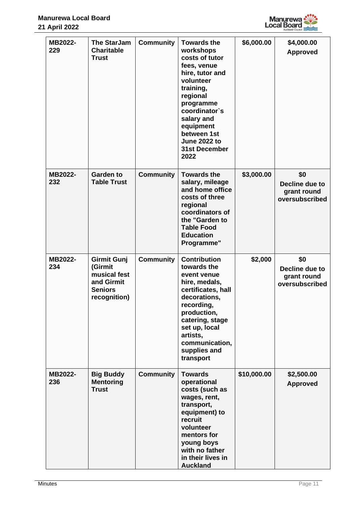

| MB2022-<br>229 | <b>The StarJam</b><br><b>Charitable</b><br><b>Trust</b>                                       | <b>Community</b> | <b>Towards the</b><br>workshops<br>costs of tutor<br>fees, venue<br>hire, tutor and<br>volunteer<br>training,<br>regional<br>programme<br>coordinator's<br>salary and<br>equipment<br>between 1st<br><b>June 2022 to</b><br><b>31st December</b><br>2022 | \$6,000.00  | \$4,000.00<br><b>Approved</b>                          |
|----------------|-----------------------------------------------------------------------------------------------|------------------|----------------------------------------------------------------------------------------------------------------------------------------------------------------------------------------------------------------------------------------------------------|-------------|--------------------------------------------------------|
| MB2022-<br>232 | <b>Garden to</b><br><b>Table Trust</b>                                                        | <b>Community</b> | <b>Towards the</b><br>salary, mileage<br>and home office<br>costs of three<br>regional<br>coordinators of<br>the "Garden to<br><b>Table Food</b><br><b>Education</b><br>Programme"                                                                       | \$3,000.00  | \$0<br>Decline due to<br>grant round<br>oversubscribed |
| MB2022-<br>234 | <b>Girmit Gunj</b><br>(Girmit<br>musical fest<br>and Girmit<br><b>Seniors</b><br>recognition) | <b>Community</b> | <b>Contribution</b><br>towards the<br>event venue<br>hire, medals,<br>certificates, hall<br>decorations,<br>recording,<br>production,<br>catering, stage<br>set up, local<br>artists,<br>communication,<br>supplies and<br>transport                     | \$2,000     | \$0<br>Decline due to<br>grant round<br>oversubscribed |
| MB2022-<br>236 | <b>Big Buddy</b><br><b>Mentoring</b><br><b>Trust</b>                                          | <b>Community</b> | <b>Towards</b><br>operational<br>costs (such as<br>wages, rent,<br>transport,<br>equipment) to<br>recruit<br>volunteer<br>mentors for<br>young boys<br>with no father<br>in their lives in<br><b>Auckland</b>                                            | \$10,000.00 | \$2,500.00<br><b>Approved</b>                          |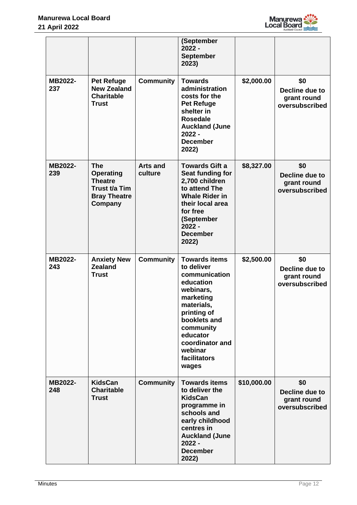

|                |                                                                                                     |                            | (September<br>$2022 -$<br><b>September</b><br>2023)                                                                                                                                                                     |             |                                                        |
|----------------|-----------------------------------------------------------------------------------------------------|----------------------------|-------------------------------------------------------------------------------------------------------------------------------------------------------------------------------------------------------------------------|-------------|--------------------------------------------------------|
| MB2022-<br>237 | <b>Pet Refuge</b><br><b>New Zealand</b><br><b>Charitable</b><br><b>Trust</b>                        | <b>Community</b>           | <b>Towards</b><br>administration<br>costs for the<br><b>Pet Refuge</b><br>shelter in<br><b>Rosedale</b><br><b>Auckland (June</b><br>$2022 -$<br><b>December</b><br>2022)                                                | \$2,000.00  | \$0<br>Decline due to<br>grant round<br>oversubscribed |
| MB2022-<br>239 | <b>The</b><br><b>Operating</b><br><b>Theatre</b><br>Trust t/a Tim<br><b>Bray Theatre</b><br>Company | <b>Arts and</b><br>culture | <b>Towards Gift a</b><br>Seat funding for<br>2,700 children<br>to attend The<br><b>Whale Rider in</b><br>their local area<br>for free<br>(September<br>$2022 -$<br><b>December</b><br>2022)                             | \$8,327.00  | \$0<br>Decline due to<br>grant round<br>oversubscribed |
| MB2022-<br>243 | <b>Anxiety New</b><br><b>Zealand</b><br><b>Trust</b>                                                | <b>Community</b>           | <b>Towards items</b><br>to deliver<br>communication<br>education<br>webinars,<br>marketing<br>materials,<br>printing of<br>booklets and<br>community<br>educator<br>coordinator and<br>webinar<br>facilitators<br>wages | \$2,500.00  | \$0<br>Decline due to<br>grant round<br>oversubscribed |
| MB2022-<br>248 | <b>KidsCan</b><br><b>Charitable</b><br><b>Trust</b>                                                 | <b>Community</b>           | <b>Towards items</b><br>to deliver the<br><b>KidsCan</b><br>programme in<br>schools and<br>early childhood<br>centres in<br><b>Auckland (June</b><br>$2022 -$<br><b>December</b><br>2022)                               | \$10,000.00 | \$0<br>Decline due to<br>grant round<br>oversubscribed |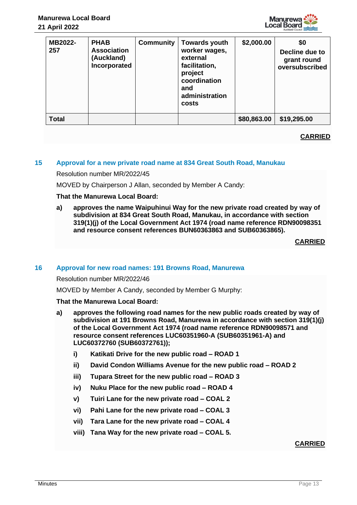

| MB2022-<br>257 | <b>PHAB</b><br><b>Association</b><br>(Auckland)<br>Incorporated | <b>Community</b> | <b>Towards youth</b><br>worker wages,<br>external<br>facilitation,<br>project<br>coordination<br>and<br>administration<br>costs | \$2,000.00  | \$0<br>Decline due to<br>grant round<br>oversubscribed |
|----------------|-----------------------------------------------------------------|------------------|---------------------------------------------------------------------------------------------------------------------------------|-------------|--------------------------------------------------------|
| <b>Total</b>   |                                                                 |                  |                                                                                                                                 | \$80,863.00 | \$19,295.00                                            |

# **15 Approval for a new private road name at 834 Great South Road, Manukau**

Resolution number MR/2022/45

MOVED by Chairperson J Allan, seconded by Member A Candy:

#### **That the Manurewa Local Board:**

**a) approves the name Waipuhinui Way for the new private road created by way of subdivision at 834 Great South Road, Manukau, in accordance with section 319(1)(j) of the Local Government Act 1974 (road name reference RDN90098351 and resource consent references BUN60363863 and SUB60363865).**

**CARRIED**

#### **16 Approval for new road names: 191 Browns Road, Manurewa**

Resolution number MR/2022/46

MOVED by Member A Candy, seconded by Member G Murphy:

#### **That the Manurewa Local Board:**

- **a) approves the following road names for the new public roads created by way of subdivision at 191 Browns Road, Manurewa in accordance with section 319(1)(j) of the Local Government Act 1974 (road name reference RDN90098571 and resource consent references LUC60351960-A (SUB60351961-A) and LUC60372760 (SUB60372761));**
	- **i) Katikati Drive for the new public road – ROAD 1**
	- **ii) David Condon Williams Avenue for the new public road – ROAD 2**
	- **iii) Tupara Street for the new public road – ROAD 3**
	- **iv) Nuku Place for the new public road – ROAD 4**
	- **v) Tuiri Lane for the new private road – COAL 2**
	- **vi) Pahi Lane for the new private road – COAL 3**
	- **vii) Tara Lane for the new private road – COAL 4**
	- **viii) Tana Way for the new private road – COAL 5.**

## **CARRIED**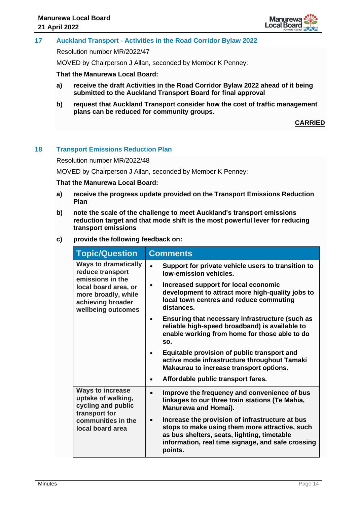

# **17 Auckland Transport - Activities in the Road Corridor Bylaw 2022**

Resolution number MR/2022/47

MOVED by Chairperson J Allan, seconded by Member K Penney:

**That the Manurewa Local Board:**

- **a) receive the draft Activities in the Road Corridor Bylaw 2022 ahead of it being submitted to the Auckland Transport Board for final approval**
- **b) request that Auckland Transport consider how the cost of traffic management plans can be reduced for community groups.**

**CARRIED**

# **18 Transport Emissions Reduction Plan**

Resolution number MR/2022/48

MOVED by Chairperson J Allan, seconded by Member K Penney:

#### **That the Manurewa Local Board:**

- **a) receive the progress update provided on the Transport Emissions Reduction Plan**
- **b) note the scale of the challenge to meet Auckland's transport emissions reduction target and that mode shift is the most powerful lever for reducing transport emissions**
- **c) provide the following feedback on:**

| <b>Topic/Question</b>                                                                  | <b>Comments</b>                                                                                                                                                                                                               |  |  |
|----------------------------------------------------------------------------------------|-------------------------------------------------------------------------------------------------------------------------------------------------------------------------------------------------------------------------------|--|--|
| <b>Ways to dramatically</b><br>reduce transport<br>emissions in the                    | Support for private vehicle users to transition to<br>low-emission vehicles.                                                                                                                                                  |  |  |
| local board area, or<br>more broadly, while<br>achieving broader<br>wellbeing outcomes | Increased support for local economic<br>development to attract more high-quality jobs to<br>local town centres and reduce commuting<br>distances.                                                                             |  |  |
|                                                                                        | Ensuring that necessary infrastructure (such as<br>$\bullet$<br>reliable high-speed broadband) is available to<br>enable working from home for those able to do<br>SO.                                                        |  |  |
|                                                                                        | Equitable provision of public transport and<br>active mode infrastructure throughout Tamaki<br>Makaurau to increase transport options.                                                                                        |  |  |
|                                                                                        | Affordable public transport fares.                                                                                                                                                                                            |  |  |
| <b>Ways to increase</b><br>uptake of walking,<br>cycling and public<br>transport for   | Improve the frequency and convenience of bus<br>linkages to our three train stations (Te Mahia,<br><b>Manurewa and Homai).</b>                                                                                                |  |  |
| communities in the<br>local board area                                                 | Increase the provision of infrastructure at bus<br>$\bullet$<br>stops to make using them more attractive, such<br>as bus shelters, seats, lighting, timetable<br>information, real time signage, and safe crossing<br>points. |  |  |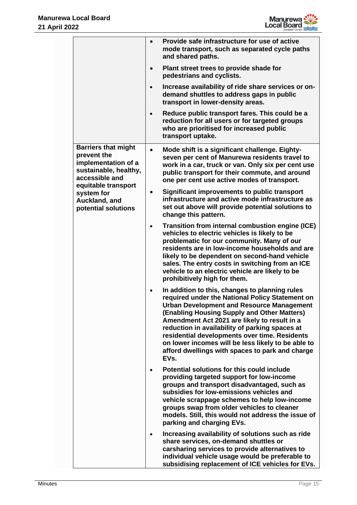

|  |                                                                                                                                                                                                       | $\bullet$ | Provide safe infrastructure for use of active<br>mode transport, such as separated cycle paths<br>and shared paths.                                                                                                                                                                                                                                                                                                                                                      |
|--|-------------------------------------------------------------------------------------------------------------------------------------------------------------------------------------------------------|-----------|--------------------------------------------------------------------------------------------------------------------------------------------------------------------------------------------------------------------------------------------------------------------------------------------------------------------------------------------------------------------------------------------------------------------------------------------------------------------------|
|  |                                                                                                                                                                                                       |           | Plant street trees to provide shade for<br>pedestrians and cyclists.                                                                                                                                                                                                                                                                                                                                                                                                     |
|  |                                                                                                                                                                                                       |           | Increase availability of ride share services or on-<br>demand shuttles to address gaps in public<br>transport in lower-density areas.                                                                                                                                                                                                                                                                                                                                    |
|  |                                                                                                                                                                                                       |           | Reduce public transport fares. This could be a<br>reduction for all users or for targeted groups<br>who are prioritised for increased public<br>transport uptake.                                                                                                                                                                                                                                                                                                        |
|  | <b>Barriers that might</b><br>$\bullet$<br>prevent the<br>implementation of a<br>sustainable, healthy,<br>accessible and<br>equitable transport<br>system for<br>Auckland, and<br>potential solutions |           | Mode shift is a significant challenge. Eighty-<br>seven per cent of Manurewa residents travel to<br>work in a car, truck or van. Only six per cent use<br>public transport for their commute, and around<br>one per cent use active modes of transport.                                                                                                                                                                                                                  |
|  |                                                                                                                                                                                                       |           | Significant improvements to public transport<br>infrastructure and active mode infrastructure as<br>set out above will provide potential solutions to<br>change this pattern.                                                                                                                                                                                                                                                                                            |
|  |                                                                                                                                                                                                       |           | Transition from internal combustion engine (ICE)<br>vehicles to electric vehicles is likely to be<br>problematic for our community. Many of our<br>residents are in low-income households and are<br>likely to be dependent on second-hand vehicle<br>sales. The entry costs in switching from an ICE<br>vehicle to an electric vehicle are likely to be<br>prohibitively high for them.                                                                                 |
|  |                                                                                                                                                                                                       |           | In addition to this, changes to planning rules<br>required under the National Policy Statement on<br><b>Urban Development and Resource Management</b><br>(Enabling Housing Supply and Other Matters)<br>Amendment Act 2021 are likely to result in a<br>reduction in availability of parking spaces at<br>residential developments over time. Residents<br>on lower incomes will be less likely to be able to<br>afford dwellings with spaces to park and charge<br>EVs. |
|  |                                                                                                                                                                                                       |           | Potential solutions for this could include<br>providing targeted support for low-income<br>groups and transport disadvantaged, such as<br>subsidies for low-emissions vehicles and<br>vehicle scrappage schemes to help low-income<br>groups swap from older vehicles to cleaner<br>models. Still, this would not address the issue of<br>parking and charging EVs.                                                                                                      |
|  |                                                                                                                                                                                                       |           | Increasing availability of solutions such as ride<br>share services, on-demand shuttles or<br>carsharing services to provide alternatives to<br>individual vehicle usage would be preferable to<br>subsidising replacement of ICE vehicles for EVs.                                                                                                                                                                                                                      |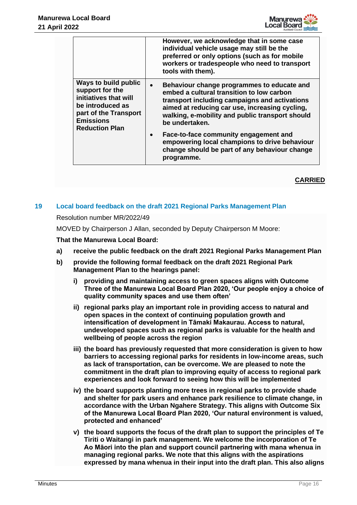

|                                                                                                                                                            | However, we acknowledge that in some case<br>individual vehicle usage may still be the<br>preferred or only options (such as for mobile<br>workers or tradespeople who need to transport<br>tools with them).                                                                                                                                             |
|------------------------------------------------------------------------------------------------------------------------------------------------------------|-----------------------------------------------------------------------------------------------------------------------------------------------------------------------------------------------------------------------------------------------------------------------------------------------------------------------------------------------------------|
| Ways to build public<br>support for the<br>initiatives that will<br>be introduced as<br>part of the Transport<br><b>Emissions</b><br><b>Reduction Plan</b> | Behaviour change programmes to educate and<br>embed a cultural transition to low carbon<br>transport including campaigns and activations<br>aimed at reducing car use, increasing cycling,<br>walking, e-mobility and public transport should<br>be undertaken.<br>Face-to-face community engagement and<br>empowering local champions to drive behaviour |
|                                                                                                                                                            | change should be part of any behaviour change<br>programme.                                                                                                                                                                                                                                                                                               |

# **19 Local board feedback on the draft 2021 Regional Parks Management Plan**

# Resolution number MR/2022/49

MOVED by Chairperson J Allan, seconded by Deputy Chairperson M Moore:

# **That the Manurewa Local Board:**

- **a) receive the public feedback on the draft 2021 Regional Parks Management Plan**
- **b) provide the following formal feedback on the draft 2021 Regional Park Management Plan to the hearings panel:**
	- **i) providing and maintaining access to green spaces aligns with Outcome Three of the Manurewa Local Board Plan 2020, 'Our people enjoy a choice of quality community spaces and use them often'**
	- **ii) regional parks play an important role in providing access to natural and open spaces in the context of continuing population growth and intensification of development in Tāmaki Makaurau. Access to natural, undeveloped spaces such as regional parks is valuable for the health and wellbeing of people across the region**
	- **iii) the board has previously requested that more consideration is given to how barriers to accessing regional parks for residents in low-income areas, such as lack of transportation, can be overcome. We are pleased to note the commitment in the draft plan to improving equity of access to regional park experiences and look forward to seeing how this will be implemented**
	- **iv) the board supports planting more trees in regional parks to provide shade and shelter for park users and enhance park resilience to climate change, in accordance with the Urban Ngahere Strategy. This aligns with Outcome Six of the Manurewa Local Board Plan 2020, 'Our natural environment is valued, protected and enhanced'**
	- **v) the board supports the focus of the draft plan to support the principles of Te Tiriti o Waitangi in park management. We welcome the incorporation of Te Ao Māori into the plan and support council partnering with mana whenua in managing regional parks. We note that this aligns with the aspirations expressed by mana whenua in their input into the draft plan. This also aligns**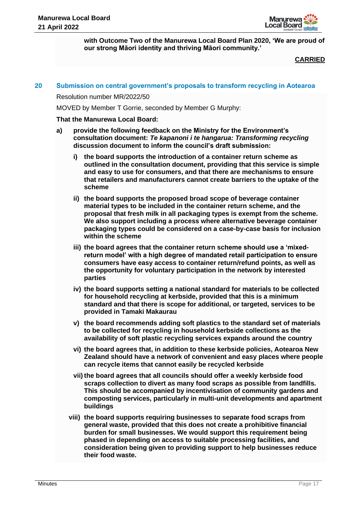

**with Outcome Two of the Manurewa Local Board Plan 2020, 'We are proud of our strong Māori identity and thriving Māori community.'**

# **CARRIED**

## **20 Submission on central government's proposals to transform recycling in Aotearoa**

Resolution number MR/2022/50

MOVED by Member T Gorrie, seconded by Member G Murphy:

#### **That the Manurewa Local Board:**

- **a) provide the following feedback on the Ministry for the Environment's consultation document:** *Te kapanoni i te hangarua: Transforming recycling*  **discussion document to inform the council's draft submission:**
	- **i) the board supports the introduction of a container return scheme as outlined in the consultation document, providing that this service is simple and easy to use for consumers, and that there are mechanisms to ensure that retailers and manufacturers cannot create barriers to the uptake of the scheme**
	- **ii) the board supports the proposed broad scope of beverage container material types to be included in the container return scheme, and the proposal that fresh milk in all packaging types is exempt from the scheme. We also support including a process where alternative beverage container packaging types could be considered on a case-by-case basis for inclusion within the scheme**
	- **iii) the board agrees that the container return scheme should use a 'mixedreturn model' with a high degree of mandated retail participation to ensure consumers have easy access to container return/refund points, as well as the opportunity for voluntary participation in the network by interested parties**
	- **iv) the board supports setting a national standard for materials to be collected for household recycling at kerbside, provided that this is a minimum standard and that there is scope for additional, or targeted, services to be provided in Tamaki Makaurau**
	- **v) the board recommends adding soft plastics to the standard set of materials to be collected for recycling in household kerbside collections as the availability of soft plastic recycling services expands around the country**
	- **vi) the board agrees that, in addition to these kerbside policies, Aotearoa New Zealand should have a network of convenient and easy places where people can recycle items that cannot easily be recycled kerbside**
	- **vii) the board agrees that all councils should offer a weekly kerbside food scraps collection to divert as many food scraps as possible from landfills. This should be accompanied by incentivisation of community gardens and composting services, particularly in multi-unit developments and apartment buildings**
	- **viii) the board supports requiring businesses to separate food scraps from general waste, provided that this does not create a prohibitive financial burden for small businesses. We would support this requirement being phased in depending on access to suitable processing facilities, and consideration being given to providing support to help businesses reduce their food waste.**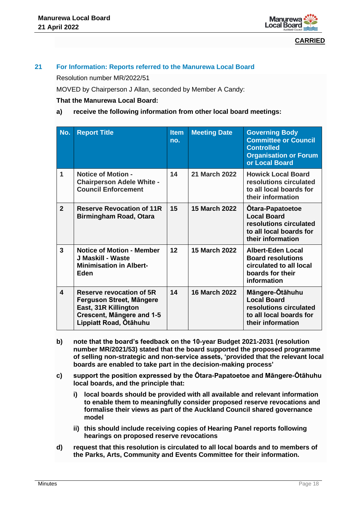

# **21 For Information: Reports referred to the Manurewa Local Board**

Resolution number MR/2022/51

MOVED by Chairperson J Allan, seconded by Member A Candy:

# **That the Manurewa Local Board:**

# **a) receive the following information from other local board meetings:**

| No.            | <b>Report Title</b>                                                                                                                 | <b>Item</b><br>no. | <b>Meeting Date</b>  | <b>Governing Body</b><br><b>Committee or Council</b><br><b>Controlled</b><br><b>Organisation or Forum</b><br>or Local Board |
|----------------|-------------------------------------------------------------------------------------------------------------------------------------|--------------------|----------------------|-----------------------------------------------------------------------------------------------------------------------------|
| 1              | <b>Notice of Motion -</b><br><b>Chairperson Adele White -</b><br><b>Council Enforcement</b>                                         | 14                 | <b>21 March 2022</b> | <b>Howick Local Board</b><br>resolutions circulated<br>to all local boards for<br>their information                         |
| $\overline{2}$ | <b>Reserve Revocation of 11R</b><br>Birmingham Road, Otara                                                                          | 15                 | <b>15 March 2022</b> | <b>Otara-Papatoetoe</b><br><b>Local Board</b><br>resolutions circulated<br>to all local boards for<br>their information     |
| $\mathbf{3}$   | <b>Notice of Motion - Member</b><br>J Maskill - Waste<br><b>Minimisation in Albert-</b><br>Eden                                     | 12                 | 15 March 2022        | <b>Albert-Eden Local</b><br><b>Board resolutions</b><br>circulated to all local<br>boards for their<br>information          |
| 4              | Reserve revocation of 5R<br>Ferguson Street, Mängere<br>East, 31R Killington<br>Crescent, Mängere and 1-5<br>Lippiatt Road, Otāhuhu |                    | <b>16 March 2022</b> | Māngere-Otāhuhu<br><b>Local Board</b><br>resolutions circulated<br>to all local boards for<br>their information             |

- **b) note that the board's feedback on the 10-year Budget 2021-2031 (resolution number MR/2021/53) stated that the board supported the proposed programme of selling non-strategic and non-service assets, 'provided that the relevant local boards are enabled to take part in the decision-making process'**
- **c) support the position expressed by the Ōtara-Papatoetoe and Māngere-Ōtāhuhu local boards, and the principle that:** 
	- **i) local boards should be provided with all available and relevant information to enable them to meaningfully consider proposed reserve revocations and formalise their views as part of the Auckland Council shared governance model**
	- **ii) this should include receiving copies of Hearing Panel reports following hearings on proposed reserve revocations**
- **d) request that this resolution is circulated to all local boards and to members of the Parks, Arts, Community and Events Committee for their information.**